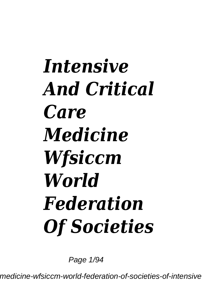## *Intensive And Critical Care Medicine Wfsiccm World Federation Of Societies*

Page 1/94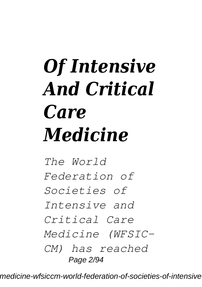## *Of Intensive And Critical Care Medicine*

*The World Federation of Societies of Intensive and Critical Care Medicine (WFSIC-CM) has reached* Page 2/94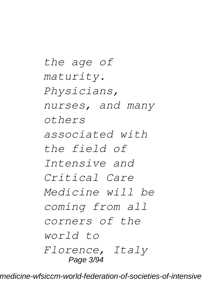*the age of maturity. Physicians, nurses, and many others associated with the field of Intensive and Critical Care Medicine will be coming from all corners of the world to Florence, Italy* Page 3/94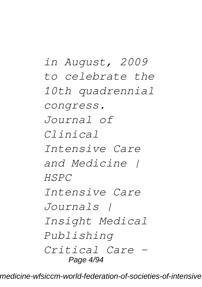*in August, 2009 to celebrate the 10th quadrennial congress. Journal of Clinical Intensive Care and Medicine | HSPC Intensive Care Journals | Insight Medical Publishing Critical Care -* Page 4/94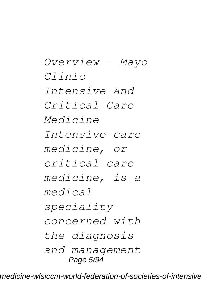*Overview - Mayo Clinic Intensive And Critical Care Medicine Intensive care medicine, or critical care medicine, is a medical speciality concerned with the diagnosis and management* Page 5/94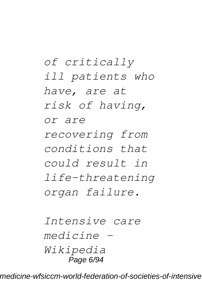*of critically ill patients who have, are at risk of having, or are recovering from conditions that could result in life-threatening organ failure.*

*Intensive care medicine - Wikipedia* Page 6/94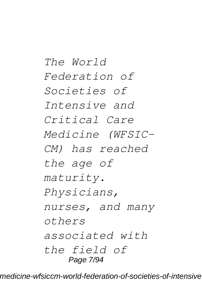*The World Federation of Societies of Intensive and Critical Care Medicine (WFSIC-CM) has reached the age of maturity. Physicians, nurses, and many others associated with the field of* Page 7/94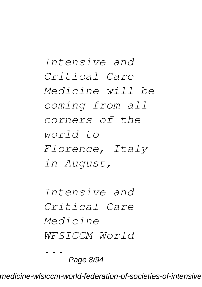*Intensive and Critical Care Medicine will be coming from all corners of the world to Florence, Italy in August,*

*Intensive and Critical Care Medicine - WFSICCM World*

Page 8/94

*...*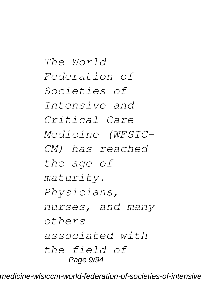*The World Federation of Societies of Intensive and Critical Care Medicine (WFSIC-CM) has reached the age of maturity. Physicians, nurses, and many others associated with the field of* Page 9/94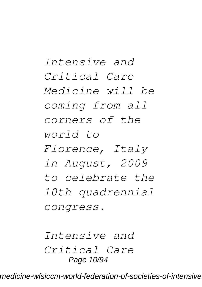*Intensive and Critical Care Medicine will be coming from all corners of the world to Florence, Italy in August, 2009 to celebrate the 10th quadrennial congress.*

*Intensive and Critical Care* Page 10/94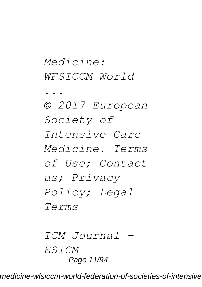## *Medicine: WFSICCM World*

*... © 2017 European Society of Intensive Care Medicine. Terms of Use; Contact us; Privacy Policy; Legal Terms*

*ICM Journal - ESICM* Page 11/94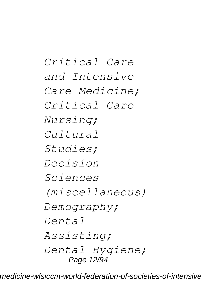*Critical Care and Intensive Care Medicine; Critical Care Nursing; Cultural Studies; Decision Sciences (miscellaneous) Demography; Dental Assisting; Dental Hygiene;* Page 12/94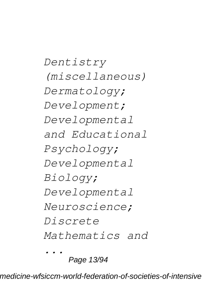*Dentistry (miscellaneous) Dermatology; Development; Developmental and Educational Psychology; Developmental Biology; Developmental Neuroscience; Discrete Mathematics and ...*

Page 13/94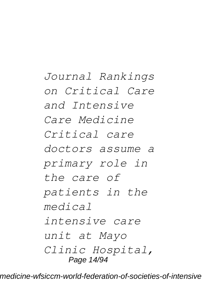*Journal Rankings on Critical Care and Intensive Care Medicine Critical care doctors assume a primary role in the care of patients in the medical intensive care unit at Mayo Clinic Hospital,* Page 14/94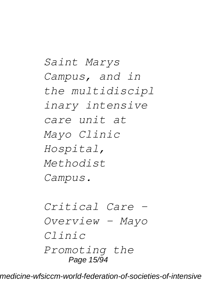*Saint Marys Campus, and in the multidiscipl inary intensive care unit at Mayo Clinic Hospital, Methodist Campus.*

*Critical Care - Overview - Mayo Clinic Promoting the* Page 15/94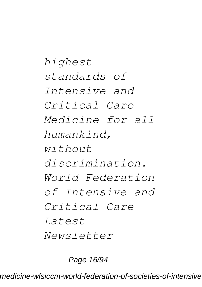*highest standards of Intensive and Critical Care Medicine for all humankind, without discrimination. World Federation of Intensive and Critical Care Latest Newsletter*

Page 16/94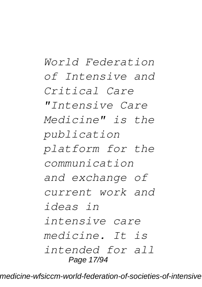*World Federation of Intensive and Critical Care "Intensive Care Medicine" is the publication platform for the communication and exchange of current work and ideas in intensive care medicine. It is intended for all* Page 17/94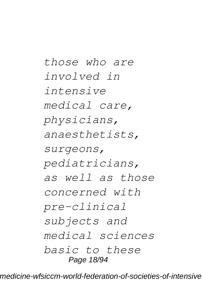*those who are involved in intensive medical care, physicians, anaesthetists, surgeons, pediatricians, as well as those concerned with pre-clinical subjects and medical sciences basic to these* Page 18/94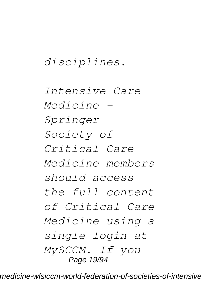## *disciplines.*

*Intensive Care Medicine - Springer Society of Critical Care Medicine members should access the full content of Critical Care Medicine using a single login at MySCCM. If you* Page 19/94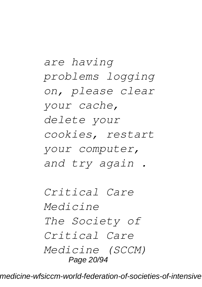*are having problems logging on, please clear your cache, delete your cookies, restart your computer, and try again .*

*Critical Care Medicine The Society of Critical Care Medicine (SCCM)* Page 20/94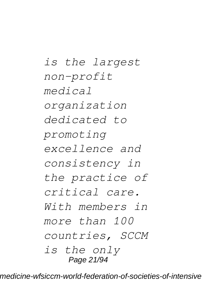*is the largest non-profit medical organization dedicated to promoting excellence and consistency in the practice of critical care. With members in more than 100 countries, SCCM is the only* Page 21/94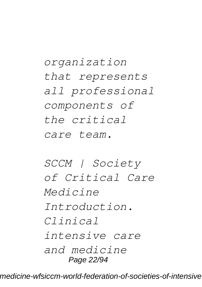*organization that represents all professional components of the critical care team.*

*SCCM | Society of Critical Care Medicine Introduction. Clinical intensive care and medicine* Page 22/94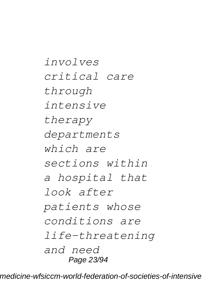*involves critical care through intensive therapy departments which are sections within a hospital that look after patients whose conditions are life-threatening and need* Page 23/94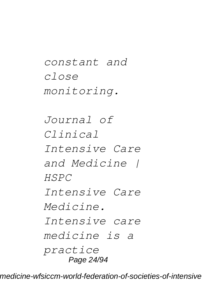*constant and close monitoring.*

*Journal of Clinical Intensive Care and Medicine | HSPC Intensive Care Medicine. Intensive care medicine is a practice* Page 24/94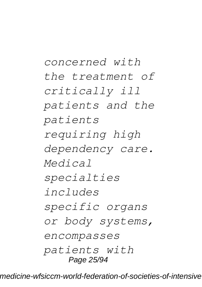*concerned with the treatment of critically ill patients and the patients requiring high dependency care. Medical specialties includes specific organs or body systems, encompasses patients with* Page 25/94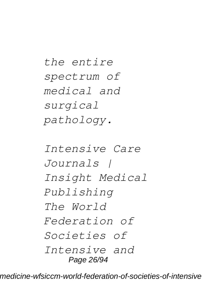*the entire spectrum of medical and surgical pathology.*

*Intensive Care Journals | Insight Medical Publishing The World Federation of Societies of Intensive and* Page 26/94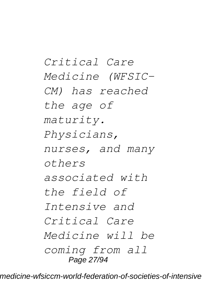*Critical Care Medicine (WFSIC-CM) has reached the age of maturity. Physicians, nurses, and many others associated with the field of Intensive and Critical Care Medicine will be coming from all* Page 27/94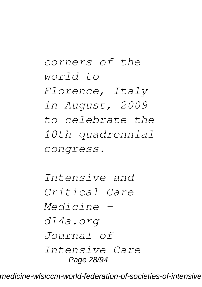*corners of the world to Florence, Italy in August, 2009 to celebrate the 10th quadrennial congress.*

*Intensive and Critical Care Medicine dl4a.org Journal of Intensive Care* Page 28/94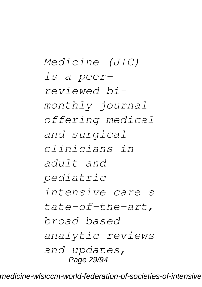*Medicine (JIC) is a peerreviewed bimonthly journal offering medical and surgical clinicians in adult and pediatric intensive care s tate-of-the-art, broad-based analytic reviews and updates,* Page 29/94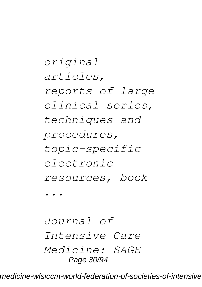*original articles, reports of large clinical series, techniques and procedures, topic-specific electronic resources, book ...*

*Journal of Intensive Care Medicine: SAGE* Page 30/94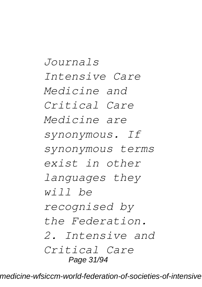*Journals Intensive Care Medicine and Critical Care Medicine are synonymous. If synonymous terms exist in other languages they will be recognised by the Federation. 2. Intensive and Critical Care* Page 31/94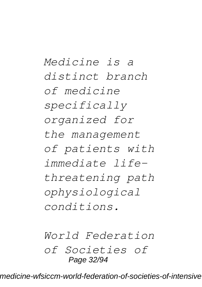*Medicine is a distinct branch of medicine specifically organized for the management of patients with immediate lifethreatening path ophysiological conditions.*

*World Federation of Societies of* Page 32/94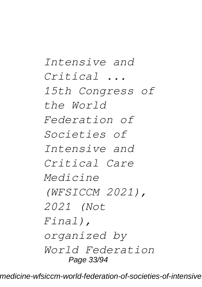*Intensive and Critical ... 15th Congress of the World Federation of Societies of Intensive and Critical Care Medicine (WFSICCM 2021), 2021 (Not Final), organized by World Federation* Page 33/94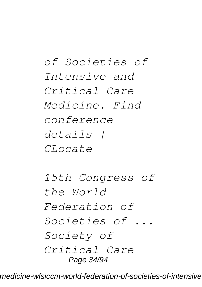*of Societies of Intensive and Critical Care Medicine. Find conference details | CLocate*

*15th Congress of the World Federation of Societies of ... Society of Critical Care* Page 34/94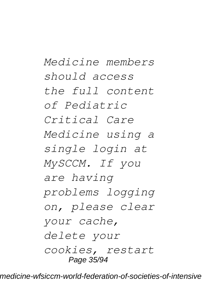*Medicine members should access the full content of Pediatric Critical Care Medicine using a single login at MySCCM. If you are having problems logging on, please clear your cache, delete your cookies, restart* Page 35/94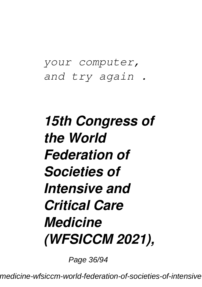*your computer, and try again .*

*15th Congress of the World Federation of Societies of Intensive and Critical Care Medicine (WFSICCM 2021),*

Page 36/94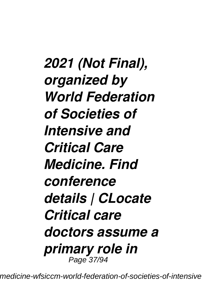*2021 (Not Final), organized by World Federation of Societies of Intensive and Critical Care Medicine. Find conference details | CLocate Critical care doctors assume a primary role in* Page 37/94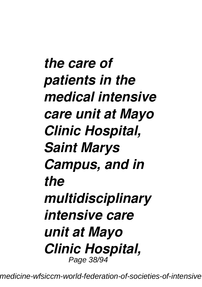*the care of patients in the medical intensive care unit at Mayo Clinic Hospital, Saint Marys Campus, and in the multidisciplinary intensive care unit at Mayo Clinic Hospital,* Page 38/94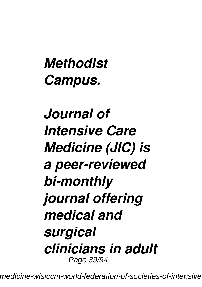# *Methodist Campus.*

# *Journal of Intensive Care Medicine (JIC) is a peer-reviewed bi-monthly journal offering medical and surgical clinicians in adult* Page 39/94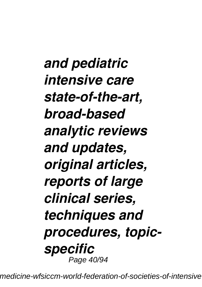*and pediatric intensive care state-of-the-art, broad-based analytic reviews and updates, original articles, reports of large clinical series, techniques and procedures, topicspecific* Page 40/94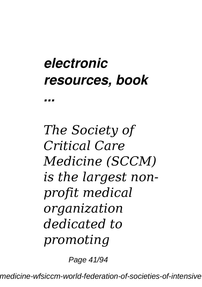# *electronic resources, book*

*...*

*The Society of Critical Care Medicine (SCCM) is the largest nonprofit medical organization dedicated to promoting*

Page 41/94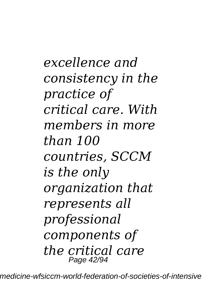*excellence and consistency in the practice of critical care. With members in more than 100 countries, SCCM is the only organization that represents all professional components of the critical care* Page 42/94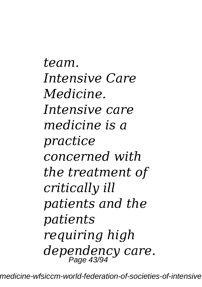*team. Intensive Care Medicine. Intensive care medicine is a practice concerned with the treatment of critically ill patients and the patients requiring high dependency care.* Page 43/94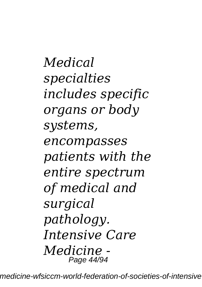*Medical specialties includes specific organs or body systems, encompasses patients with the entire spectrum of medical and surgical pathology. Intensive Care Medicine -* Page 44/94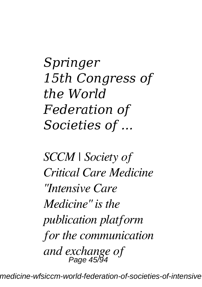*Springer 15th Congress of the World Federation of Societies of ...*

*SCCM | Society of Critical Care Medicine "Intensive Care Medicine" is the publication platform for the communication and exchange of* Page 45/94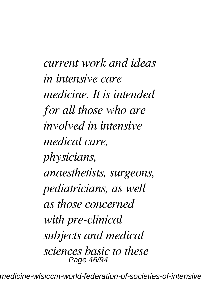*current work and ideas in intensive care medicine. It is intended for all those who are involved in intensive medical care, physicians, anaesthetists, surgeons, pediatricians, as well as those concerned with pre-clinical subjects and medical sciences basic to these* Page 46/94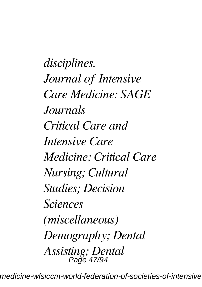*disciplines. Journal of Intensive Care Medicine: SAGE Journals Critical Care and Intensive Care Medicine; Critical Care Nursing; Cultural Studies; Decision Sciences (miscellaneous) Demography; Dental Assisting; Dental* Page 47/94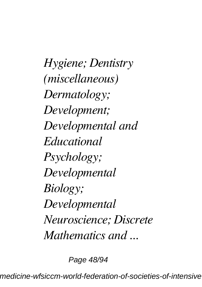*Hygiene; Dentistry (miscellaneous) Dermatology; Development; Developmental and Educational Psychology; Developmental Biology; Developmental Neuroscience; Discrete Mathematics and ...*

Page 48/94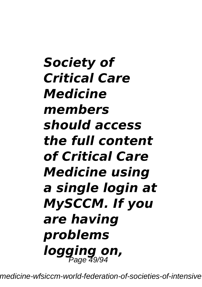*Society of Critical Care Medicine members should access the full content of Critical Care Medicine using a single login at MySCCM. If you are having problems logging on,* Page 49/94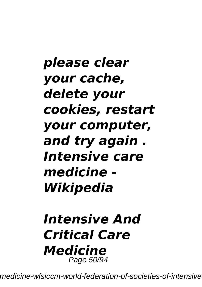*please clear your cache, delete your cookies, restart your computer, and try again . Intensive care medicine - Wikipedia*

#### *Intensive And Critical Care Medicine* Page 50/94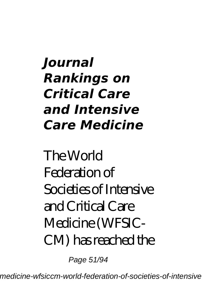# *Journal Rankings on Critical Care and Intensive Care Medicine*

The World Federation of Societies of Intensive and Critical Care Medicine (WFSIC-CM) has reached the

Page 51/94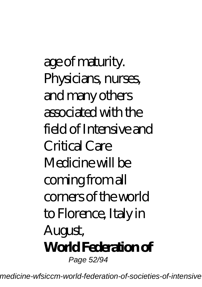age of maturity. Physicians, nurses, and many others associated with the field of Intensive and Critical Care Medicine will be coming from all corners of the world to Florence, Italy in August, **World Federation of** Page 52/94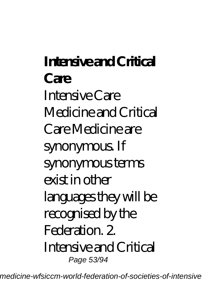# **Intensive and Critical Care** Intensive Care Medicine and Critical Care Medicine are synonymous. If synonymous terms exist in other languages they will be recognised by the Federation. 2. Intensive and Critical Page 53/94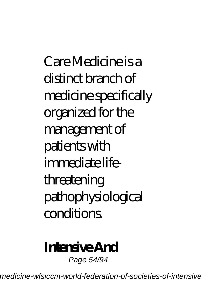Care Medicine is a distinct branch of medicine specifically organized for the management of patients with immediate lifethreatening pathophysiological conditions.

#### **Intensive And**

Page 54/94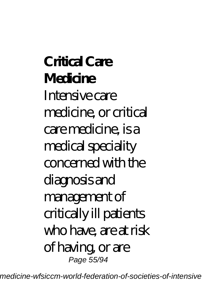**Critical Care Medicine** Intensive care medicine, or critical care medicine, is a medical speciality concerned with the diagnosis and management of critically ill patients who have, are at risk of having, or are Page 55/94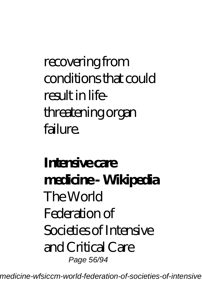recovering from conditions that could result in lifethreatening organ failure.

**Intensive care medicine - Wikipedia** The World Federation of Societies of Intensive and Critical Care Page 56/94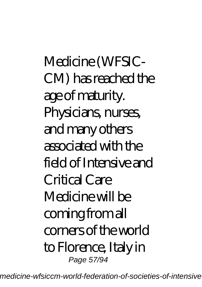Medicine (WFSIC-CM) has reached the age of maturity. Physicians, nurses, and many others associated with the field of Intensive and Critical Care Medicine will be coming from all corners of the world to Florence, Italy in Page 57/94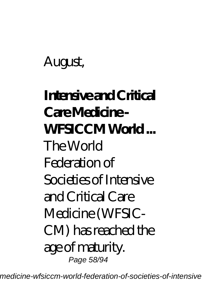#### August,

# **Intensive and Critical Care Medicine - WFSICCM World ...** The World Federation of Societies of Intensive and Critical Care Medicine (WFSIC-CM) has reached the age of maturity. Page 58/94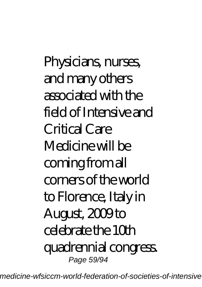Physicians, nurses, and many others associated with the field of Intensive and Critical Care Medicine will be coming from all corners of the world to Florence, Italy in August, 2009 to celebrate the 10th quadrennial congress. Page 59/94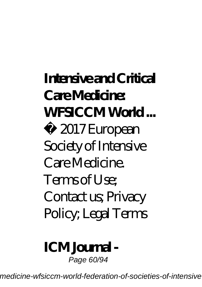**Intensive and Critical Care Medicine: WFSICCM World ...** © 2017 European Society of Intensive Care Medicine. Terms of Use; Contact us; Privacy Policy; Legal Terms

# **ICM Journal -**

Page 60/94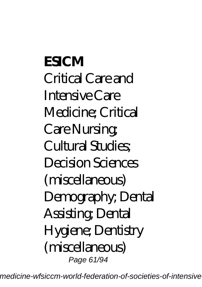**ESICM** Critical Care and Intensive Care Medicine; Critical Care Nursing; Cultural Studies Decision Sciences (miscellaneous) Demography; Dental Assisting; Dental Hygiene; Dentistry (miscellaneous) Page 61/94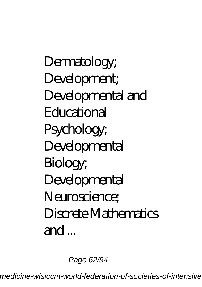Dermatology; Development; Developmental and **Educational** Psychology; Developmental Biology; Developmental Neuroscience; Discrete Mathematics and .

Page 62/94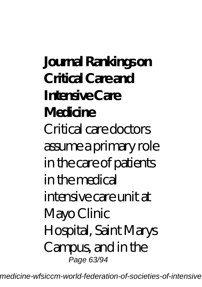**Journal Rankings on Critical Care and Intensive Care Medicine** Critical care doctors assume a primary role in the care of patients in the medical intensive care unit at Mayo Clinic Hospital, Saint Marys Campus, and in the Page 63/94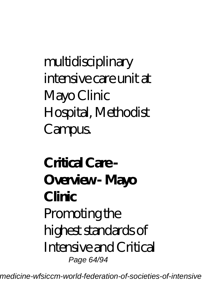multidisciplinary intensive care unit at Mayo Clinic Hospital, Methodist **Campus.** 

**Critical Care -** Overview - Mayo **Clinic** Promoting the highest standards of Intensive and Critical Page 64/94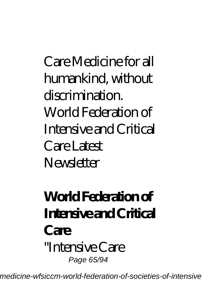Care Medicine for all humankind, without discrimination. World Federation of Intensive and Critical Care Latest Newsletter

#### **World Federation of Intensive and Critical Care** "Intensive Care Page 65/94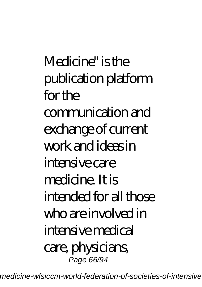Medicine" is the publication platform for the communication and exchange of current work and ideas in intensive care medicine. It is intended for all those who are involved in intensive medical care, physicians, Page 66/94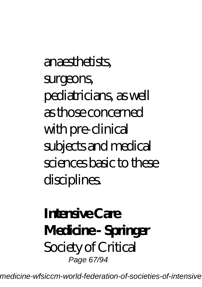anaesthetists, surgeons, pediatricians, as well as those concerned with pre-clinical subjects and medical sciences basic to these disciplines.

#### **Intensive Care Medicine - Springer** Society of Critical Page 67/94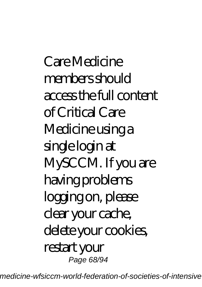Care Medicine members should access the full content of Critical Care Medicine using a single login at MySCCM. If you are having problems logging on, please clear your cache, delete your cookies, restart your Page 68/94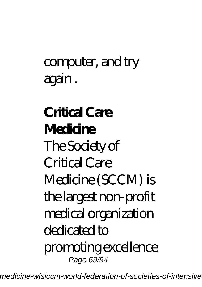#### computer, and try again .

# **Critical Care Medicine** The Society of Critical Care Medicine (SCCM) is the largest non-profit medical organization dedicated to promoting excellence Page 69/94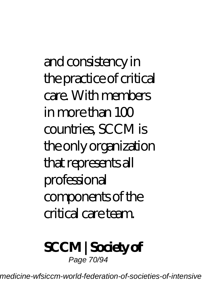and consistency in the practice of critical care. With members in more than  $100$ countries, SCCM is the only organization that represents all professional components of the critical care team.

#### **SCCM | Society of** Page 70/94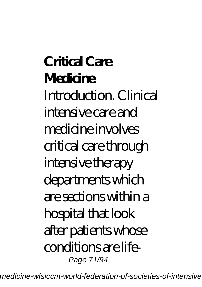**Critical Care Medicine** Introduction. Clinical intensive care and medicine involves critical care through intensive therapy departments which are sections within a hospital that look after patients whose conditions are life-Page 71/94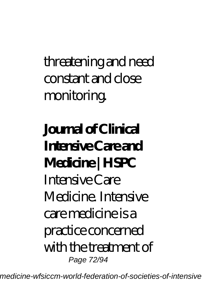threatening and need constant and close monitoring.

**Journal of Clinical Intensive Care and Medicine | HSPC** Intensive Care Medicine. Intensive care medicine is a practice concerned with the treatment of Page 72/94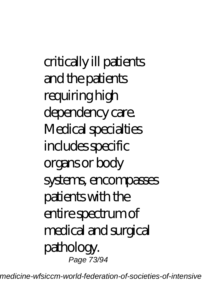critically ill patients and the patients requiring high dependency care. Medical specialties includes specific organs or body systems, encompasses patients with the entire spectrum of medical and surgical pathology. Page 73/94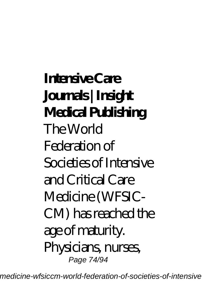**Intensive Care Journals | Insight Medical Publishing** The World Federation of Societies of Intensive and Critical Care Medicine (WFSIC-CM) has reached the age of maturity. Physicians, nurses, Page 74/94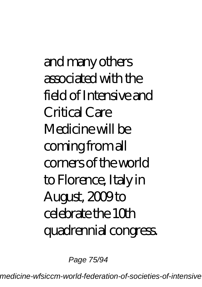and many others associated with the field of Intensive and Critical Care Medicine will be coming from all corners of the world to Florence, Italy in August, 2009 to celebrate the 10th quadrennial congress.

Page 75/94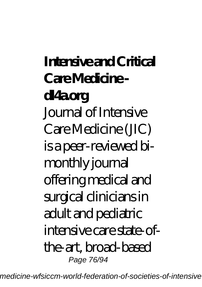**Intensive and Critical Care Medicine dl4a.org** Journal of Intensive Care Medicine (JC) is a peer-reviewed bimonthly journal offering medical and surgical clinicians in adult and pediatric intensive care state-ofthe-art, broad-based Page 76/94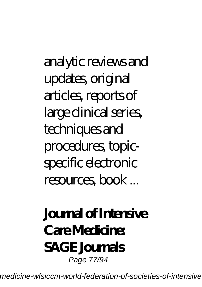analytic reviews and updates, original articles, reports of large clinical series, techniques and procedures, topicspecific electronic resources, book ...

### **Journal of Intensive Care Medicine: SAGE Journals** Page 77/94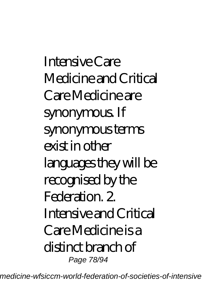Intensive Care Medicine and Critical Care Medicine are synonymous. If synonymous terms  $\epsilon$ xist in other languages they will be recognised by the Federation. 2. Intensive and Critical Care Medicine is a distinct branch of Page 78/94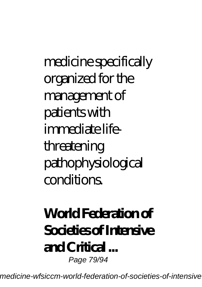medicine specifically organized for the management of patients with immediate lifethreatening pathophysiological conditions.

### **World Federation of Societies of Intensive and Critical ...** Page 79/94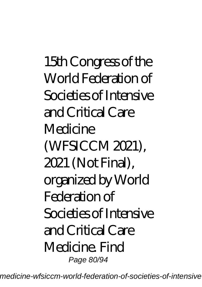15th Congress of the World Federation of Societies of Intensive and Critical Care Medicine (WFSICCM 2021), 2021 (Not Final), organized by World Federation of Societies of Intensive and Critical Care Medicine. Find Page 80/94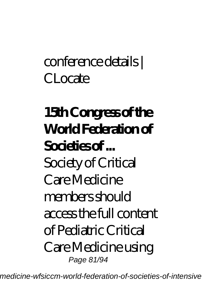### conference details | CLocate

# **15th Congress of the World Federation of Societies of ...** Society of Critical Care Medicine members should access the full content of Pediatric Critical Care Medicine using Page 81/94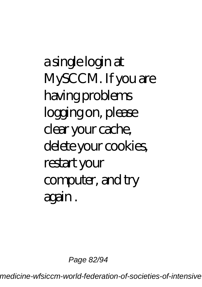a single login at MySCCM. If you are having problems logging on, please clear your cache, delete your cookies, restart your computer, and try again .

Page 82/94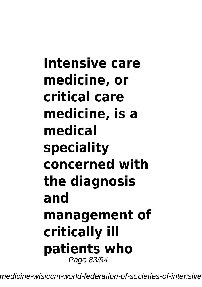# **Intensive care medicine, or critical care medicine, is a medical speciality concerned with the diagnosis and management of critically ill patients who** Page 83/94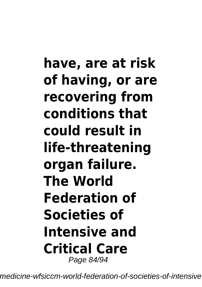# **have, are at risk of having, or are recovering from conditions that could result in life-threatening organ failure. The World Federation of Societies of Intensive and Critical Care** Page 84/94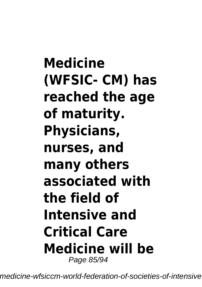**Medicine (WFSIC- CM) has reached the age of maturity. Physicians, nurses, and many others associated with the field of Intensive and Critical Care Medicine will be** Page 85/94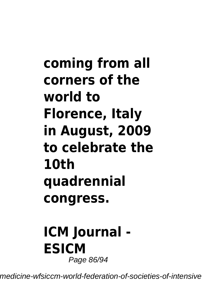# **coming from all corners of the world to Florence, Italy in August, 2009 to celebrate the 10th quadrennial congress.**

#### **ICM Journal - ESICM** Page 86/94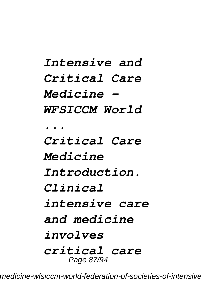*Intensive and Critical Care Medicine - WFSICCM World ... Critical Care Medicine Introduction. Clinical intensive care and medicine involves critical care* Page 87/94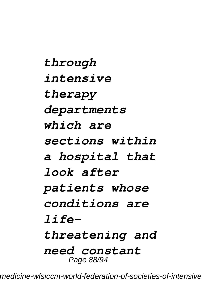*through intensive therapy departments which are sections within a hospital that look after patients whose conditions are lifethreatening and need constant* Page 88/94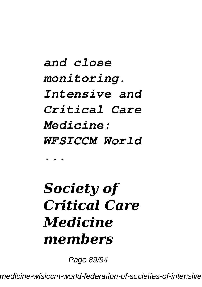### *and close monitoring. Intensive and Critical Care Medicine: WFSICCM World ...*

# *Society of Critical Care Medicine members*

Page 89/94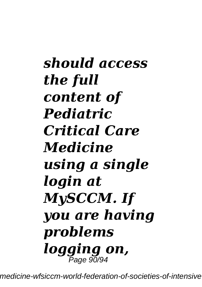# *should access the full content of Pediatric Critical Care Medicine using a single login at MySCCM. If you are having problems logging on,* Page 90/94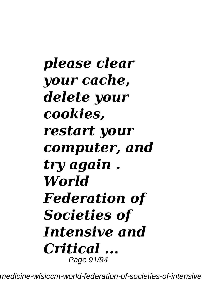# *please clear your cache, delete your cookies, restart your computer, and try again . World Federation of Societies of Intensive and Critical ...* Page 91/94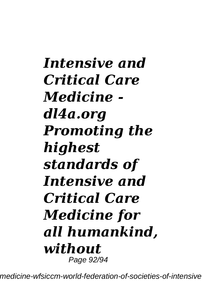# *Intensive and Critical Care Medicine dl4a.org Promoting the highest standards of Intensive and Critical Care Medicine for all humankind, without* Page 92/94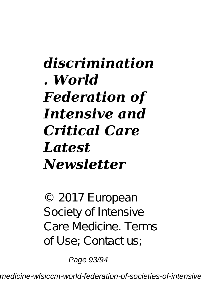# *discrimination . World Federation of Intensive and Critical Care Latest Newsletter*

© 2017 European Society of Intensive Care Medicine. Terms of Use; Contact us;

Page 93/94